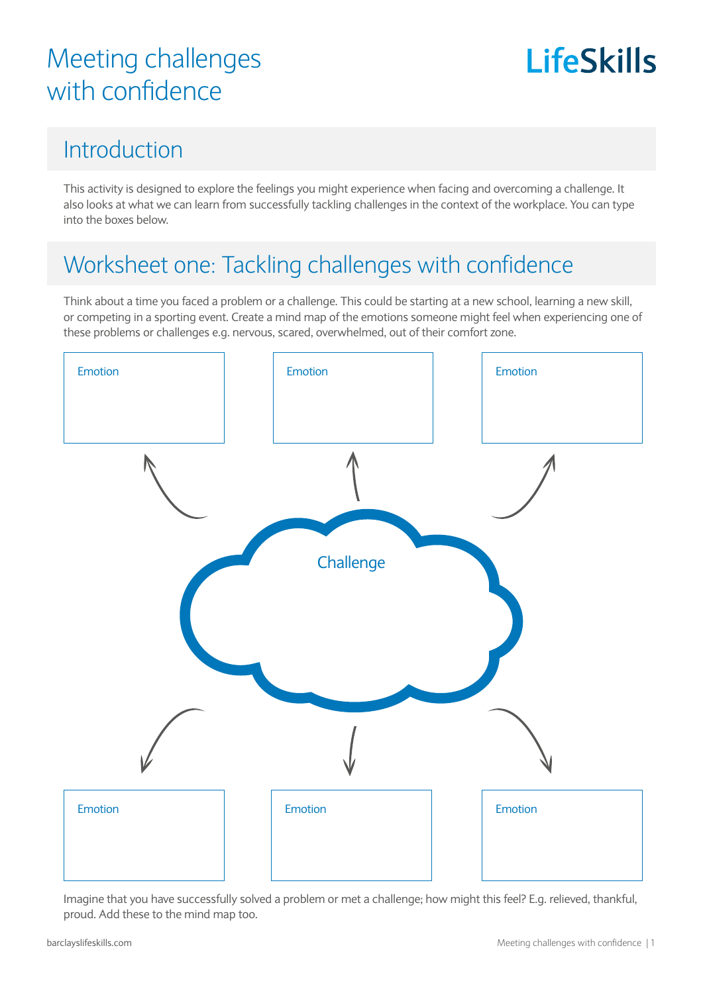# **LifeSkills**

#### Introduction

This activity is designed to explore the feelings you might experience when facing and overcoming a challenge. It also looks at what we can learn from successfully tackling challenges in the context of the workplace. You can type into the boxes below.

#### Worksheet one: Tackling challenges with confidence

Think about a time you faced a problem or a challenge. This could be starting at a new school, learning a new skill, or competing in a sporting event. Create a mind map of the emotions someone might feel when experiencing one of these problems or challenges e.g. nervous, scared, overwhelmed, out of their comfort zone.



Imagine that you have successfully solved a problem or met a challenge; how might this feel? E.g. relieved, thankful, proud. Add these to the mind map too.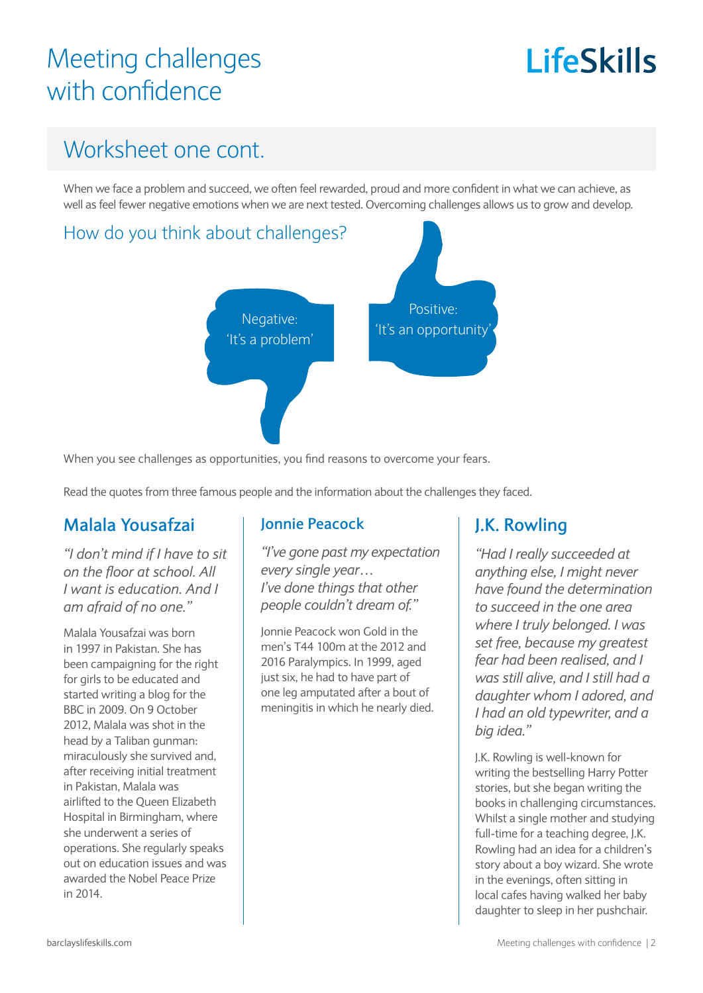# LifeSkills

#### Worksheet one cont.

When we face a problem and succeed, we often feel rewarded, proud and more confident in what we can achieve, as well as feel fewer negative emotions when we are next tested. Overcoming challenges allows us to grow and develop.



When you see challenges as opportunities, you find reasons to overcome your fears.

Read the quotes from three famous people and the information about the challenges they faced.

#### **Malala Yousafzai**

*"I don't mind if I have to sit on the floor at school. All I want is education. And I am afraid of no one."*

Malala Yousafzai was born in 1997 in Pakistan. She has been campaigning for the right for girls to be educated and started writing a blog for the BBC in 2009. On 9 October 2012, Malala was shot in the head by a Taliban gunman: miraculously she survived and, after receiving initial treatment in Pakistan, Malala was airlifted to the Queen Elizabeth Hospital in Birmingham, where she underwent a series of operations. She regularly speaks out on education issues and was awarded the Nobel Peace Prize in 2014.

#### **Jonnie Peacock**

*"I've gone past my expectation every single year… I've done things that other people couldn't dream of."*

Jonnie Peacock won Gold in the men's T44 100m at the 2012 and 2016 Paralympics. In 1999, aged just six, he had to have part of one leg amputated after a bout of meningitis in which he nearly died.

#### **J.K. Rowling**

*"Had I really succeeded at anything else, I might never have found the determination to succeed in the one area where I truly belonged. I was set free, because my greatest fear had been realised, and I was still alive, and I still had a daughter whom I adored, and I had an old typewriter, and a big idea."*

J.K. Rowling is well-known for writing the bestselling Harry Potter stories, but she began writing the books in challenging circumstances. Whilst a single mother and studying full-time for a teaching degree, J.K. Rowling had an idea for a children's story about a boy wizard. She wrote in the evenings, often sitting in local cafes having walked her baby daughter to sleep in her pushchair.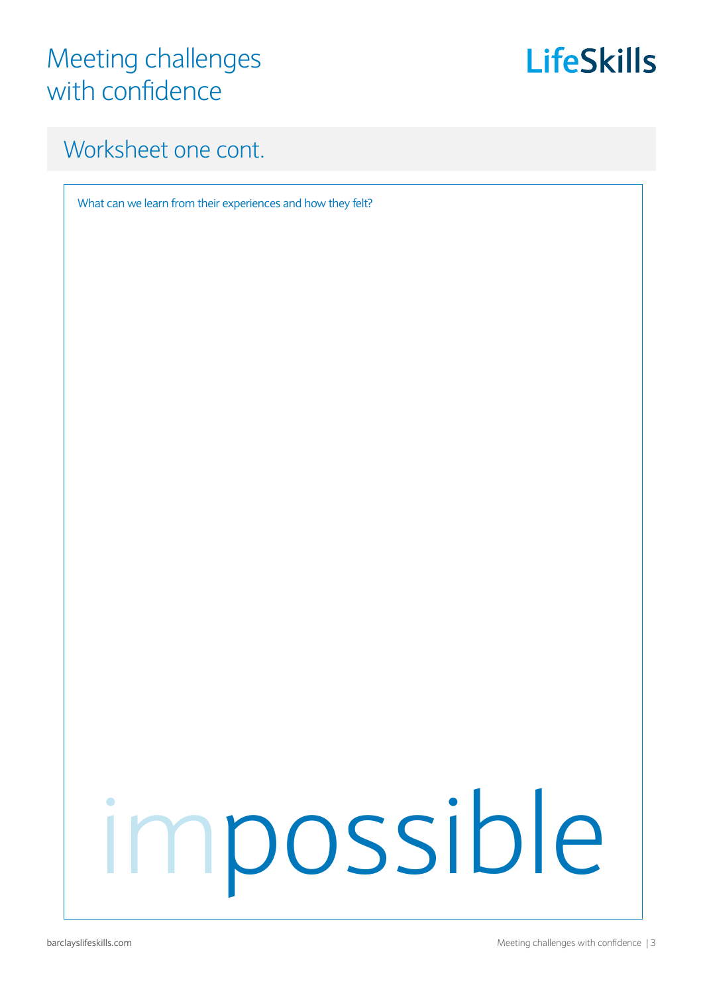

#### Worksheet one cont.

What can we learn from their experiences and how they felt?

# impossible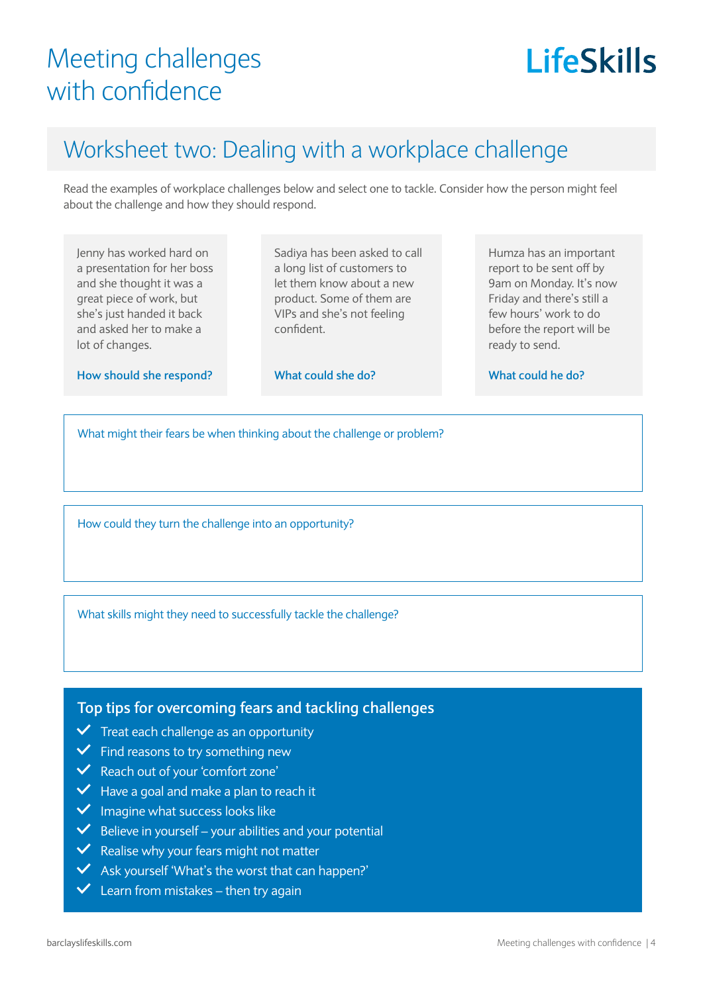# **LifeSkills**

#### Worksheet two: Dealing with a workplace challenge

Read the examples of workplace challenges below and select one to tackle. Consider how the person might feel about the challenge and how they should respond.

Jenny has worked hard on a presentation for her boss and she thought it was a great piece of work, but she's just handed it back and asked her to make a lot of changes.

Sadiya has been asked to call a long list of customers to let them know about a new product. Some of them are VIPs and she's not feeling confident.

**How should she respond?**

**What could she do?**

Humza has an important report to be sent off by 9am on Monday. It's now Friday and there's still a few hours' work to do before the report will be ready to send.

**What could he do?**

What might their fears be when thinking about the challenge or problem?

How could they turn the challenge into an opportunity?

What skills might they need to successfully tackle the challenge?

**Top tips for overcoming fears and tackling challenges**

- $\checkmark$  Treat each challenge as an opportunity
- $\checkmark$  Find reasons to try something new
- Reach out of your 'comfort zone'
- $\vee$  Have a goal and make a plan to reach it
- $\vee$  Imagine what success looks like
- $\vee$  Believe in yourself your abilities and your potential
- $\vee$  Realise why your fears might not matter
- Ask yourself 'What's the worst that can happen?'
- $\vee$  Learn from mistakes then try again